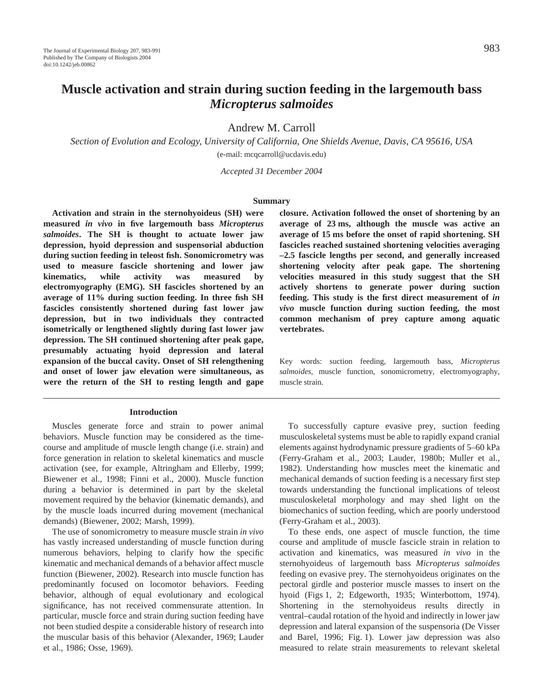# **Muscle activation and strain during suction feeding in the largemouth bass** *Micropterus salmoides*

Andrew M. Carroll

*Section of Evolution and Ecology, University of California, One Shields Avenue, Davis, CA 95616, USA* (e-mail: mcqcarroll@ucdavis.edu)

*Accepted 31 December 2004*

#### **Summary**

**Activation and strain in the sternohyoideus (SH) were measured** *in vivo* **in five largemouth bass** *Micropterus salmoides***. The SH is thought to actuate lower jaw depression, hyoid depression and suspensorial abduction during suction feeding in teleost fish. Sonomicrometry was used to measure fascicle shortening and lower jaw kinematics, while activity was measured by electromyography (EMG). SH fascicles shortened by an average of 11% during suction feeding. In three fish SH fascicles consistently shortened during fast lower jaw depression, but in two individuals they contracted isometrically or lengthened slightly during fast lower jaw depression. The SH continued shortening after peak gape, presumably actuating hyoid depression and lateral expansion of the buccal cavity. Onset of SH relengthening and onset of lower jaw elevation were simultaneous, as were the return of the SH to resting length and gape**

#### **Introduction**

Muscles generate force and strain to power animal behaviors. Muscle function may be considered as the timecourse and amplitude of muscle length change (i.e. strain) and force generation in relation to skeletal kinematics and muscle activation (see, for example, Altringham and Ellerby, 1999; Biewener et al., 1998; Finni et al., 2000). Muscle function during a behavior is determined in part by the skeletal movement required by the behavior (kinematic demands), and by the muscle loads incurred during movement (mechanical demands) (Biewener, 2002; Marsh, 1999).

The use of sonomicrometry to measure muscle strain *in vivo* has vastly increased understanding of muscle function during numerous behaviors, helping to clarify how the specific kinematic and mechanical demands of a behavior affect muscle function (Biewener, 2002). Research into muscle function has predominantly focused on locomotor behaviors. Feeding behavior, although of equal evolutionary and ecological significance, has not received commensurate attention. In particular, muscle force and strain during suction feeding have not been studied despite a considerable history of research into the muscular basis of this behavior (Alexander, 1969; Lauder et al., 1986; Osse, 1969).

**closure. Activation followed the onset of shortening by an average of 23·ms, although the muscle was active an average of 15·ms before the onset of rapid shortening. SH fascicles reached sustained shortening velocities averaging –2.5 fascicle lengths per second, and generally increased shortening velocity after peak gape. The shortening velocities measured in this study suggest that the SH actively shortens to generate power during suction feeding. This study is the first direct measurement of** *in vivo* **muscle function during suction feeding, the most common mechanism of prey capture among aquatic vertebrates.**

Key words: suction feeding, largemouth bass, *Micropterus salmoides*, muscle function, sonomicrometry, electromyography, muscle strain.

To successfully capture evasive prey, suction feeding musculoskeletal systems must be able to rapidly expand cranial elements against hydrodynamic pressure gradients of 5–60 kPa (Ferry-Graham et al., 2003; Lauder, 1980b; Muller et al., 1982). Understanding how muscles meet the kinematic and mechanical demands of suction feeding is a necessary first step towards understanding the functional implications of teleost musculoskeletal morphology and may shed light on the biomechanics of suction feeding, which are poorly understood (Ferry-Graham et al., 2003).

To these ends, one aspect of muscle function, the time course and amplitude of muscle fascicle strain in relation to activation and kinematics, was measured *in vivo* in the sternohyoideus of largemouth bass *Micropterus salmoides* feeding on evasive prey. The sternohyoideus originates on the pectoral girdle and posterior muscle masses to insert on the hyoid (Figs 1, 2; Edgeworth, 1935; Winterbottom, 1974). Shortening in the sternohyoideus results directly in ventral–caudal rotation of the hyoid and indirectly in lower jaw depression and lateral expansion of the suspensoria (De Visser and Barel, 1996; Fig. 1). Lower jaw depression was also measured to relate strain measurements to relevant skeletal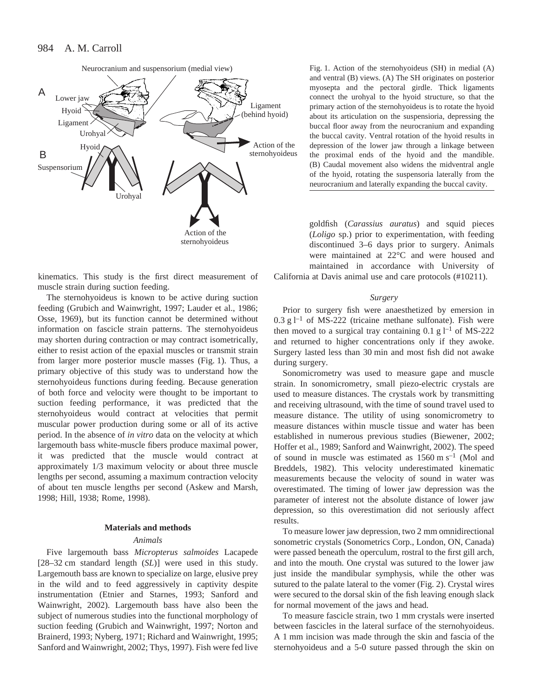

kinematics. This study is the first direct measurement of muscle strain during suction feeding.

The sternohyoideus is known to be active during suction feeding (Grubich and Wainwright, 1997; Lauder et al., 1986; Osse, 1969), but its function cannot be determined without information on fascicle strain patterns. The sternohyoideus may shorten during contraction or may contract isometrically, either to resist action of the epaxial muscles or transmit strain from larger more posterior muscle masses (Fig. 1). Thus, a primary objective of this study was to understand how the sternohyoideus functions during feeding. Because generation of both force and velocity were thought to be important to suction feeding performance, it was predicted that the sternohyoideus would contract at velocities that permit muscular power production during some or all of its active period. In the absence of *in vitro* data on the velocity at which largemouth bass white-muscle fibers produce maximal power, it was predicted that the muscle would contract at approximately 1/3 maximum velocity or about three muscle lengths per second, assuming a maximum contraction velocity of about ten muscle lengths per second (Askew and Marsh, 1998; Hill, 1938; Rome, 1998).

#### **Materials and methods**

#### *Animals*

Five largemouth bass *Micropterus salmoides* Lacapede [28–32 cm standard length (*SL*)] were used in this study. Largemouth bass are known to specialize on large, elusive prey in the wild and to feed aggressively in captivity despite instrumentation (Etnier and Starnes, 1993; Sanford and Wainwright, 2002). Largemouth bass have also been the subject of numerous studies into the functional morphology of suction feeding (Grubich and Wainwright, 1997; Norton and Brainerd, 1993; Nyberg, 1971; Richard and Wainwright, 1995; Sanford and Wainwright, 2002; Thys, 1997). Fish were fed live Fig. 1. Action of the sternohyoideus (SH) in medial  $(A)$ and ventral (B) views. (A) The SH originates on posterior myosepta and the pectoral girdle. Thick ligaments connect the urohyal to the hyoid structure, so that the primary action of the sternohyoideus is to rotate the hyoid about its articulation on the suspensioria, depressing the buccal floor away from the neurocranium and expanding the buccal cavity. Ventral rotation of the hyoid results in depression of the lower jaw through a linkage between the proximal ends of the hyoid and the mandible. (B) Caudal movement also widens the midventral angle of the hyoid, rotating the suspensoria laterally from the neurocranium and laterally expanding the buccal cavity.

goldfish (*Carassius auratus*) and squid pieces (*Loligo* sp.) prior to experimentation, with feeding discontinued 3–6 days prior to surgery. Animals were maintained at 22°C and were housed and maintained in accordance with University of California at Davis animal use and care protocols (#10211).

#### *Surgery*

Prior to surgery fish were anaesthetized by emersion in  $0.3$  g l<sup>-1</sup> of MS-222 (tricaine methane sulfonate). Fish were then moved to a surgical tray containing  $0.1$  g l<sup>-1</sup> of MS-222 and returned to higher concentrations only if they awoke. Surgery lasted less than 30 min and most fish did not awake during surgery.

Sonomicrometry was used to measure gape and muscle strain. In sonomicrometry, small piezo-electric crystals are used to measure distances. The crystals work by transmitting and receiving ultrasound, with the time of sound travel used to measure distance. The utility of using sonomicrometry to measure distances within muscle tissue and water has been established in numerous previous studies (Biewener, 2002; Hoffer et al., 1989; Sanford and Wainwright, 2002). The speed of sound in muscle was estimated as  $1560 \text{ m s}^{-1}$  (Mol and Breddels, 1982). This velocity underestimated kinematic measurements because the velocity of sound in water was overestimated. The timing of lower jaw depression was the parameter of interest not the absolute distance of lower jaw depression, so this overestimation did not seriously affect results.

To measure lower jaw depression, two 2 mm omnidirectional sonometric crystals (Sonometrics Corp., London, ON, Canada) were passed beneath the operculum, rostral to the first gill arch, and into the mouth. One crystal was sutured to the lower jaw just inside the mandibular symphysis, while the other was sutured to the palate lateral to the vomer (Fig. 2). Crystal wires were secured to the dorsal skin of the fish leaving enough slack for normal movement of the jaws and head.

To measure fascicle strain, two 1 mm crystals were inserted between fascicles in the lateral surface of the sternohyoideus. A 1 mm incision was made through the skin and fascia of the sternohyoideus and a 5-0 suture passed through the skin on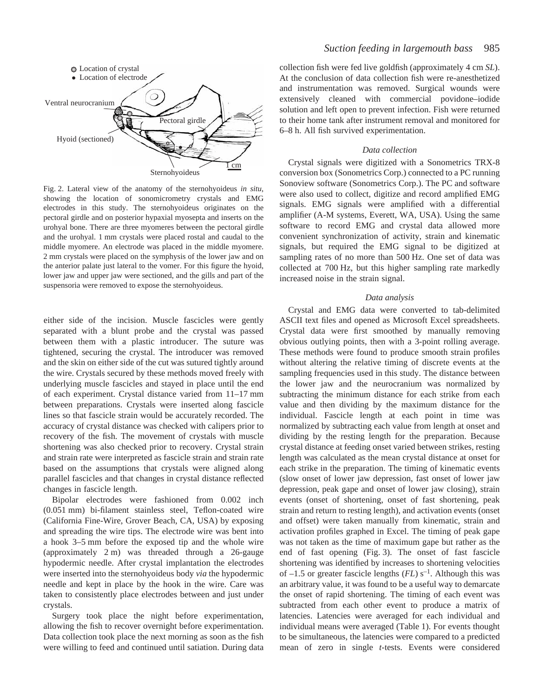

Fig. 2. Lateral view of the anatomy of the sternohyoideus *in situ*, showing the location of sonomicrometry crystals and EMG electrodes in this study. The sternohyoideus originates on the pectoral girdle and on posterior hypaxial myosepta and inserts on the urohyal bone. There are three myomeres between the pectoral girdle and the urohyal. 1 mm crystals were placed rostal and caudal to the middle myomere. An electrode was placed in the middle myomere. 2 mm crystals were placed on the symphysis of the lower jaw and on the anterior palate just lateral to the vomer. For this figure the hyoid, lower jaw and upper jaw were sectioned, and the gills and part of the suspensoria were removed to expose the sternohyoideus.

either side of the incision. Muscle fascicles were gently separated with a blunt probe and the crystal was passed between them with a plastic introducer. The suture was tightened, securing the crystal. The introducer was removed and the skin on either side of the cut was sutured tightly around the wire. Crystals secured by these methods moved freely with underlying muscle fascicles and stayed in place until the end of each experiment. Crystal distance varied from 11–17 mm between preparations. Crystals were inserted along fascicle lines so that fascicle strain would be accurately recorded. The accuracy of crystal distance was checked with calipers prior to recovery of the fish. The movement of crystals with muscle shortening was also checked prior to recovery. Crystal strain and strain rate were interpreted as fascicle strain and strain rate based on the assumptions that crystals were aligned along parallel fascicles and that changes in crystal distance reflected changes in fascicle length.

Bipolar electrodes were fashioned from 0.002 inch (0.051·mm) bi-filament stainless steel, Teflon-coated wire (California Fine-Wire, Grover Beach, CA, USA) by exposing and spreading the wire tips. The electrode wire was bent into a hook 3–5 mm before the exposed tip and the whole wire (approximately  $2 \text{ m}$ ) was threaded through a 26-gauge hypodermic needle. After crystal implantation the electrodes were inserted into the sternohyoideus body *via* the hypodermic needle and kept in place by the hook in the wire. Care was taken to consistently place electrodes between and just under crystals.

Surgery took place the night before experimentation, allowing the fish to recover overnight before experimentation. Data collection took place the next morning as soon as the fish were willing to feed and continued until satiation. During data

# *Suction feeding in largemouth bass* 985

collection fish were fed live goldfish (approximately 4 cm *SL*). At the conclusion of data collection fish were re-anesthetized and instrumentation was removed. Surgical wounds were extensively cleaned with commercial povidone–iodide solution and left open to prevent infection. Fish were returned to their home tank after instrument removal and monitored for 6–8 h. All fish survived experimentation.

#### *Data collection*

Crystal signals were digitized with a Sonometrics TRX-8 conversion box (Sonometrics Corp.) connected to a PC running Sonoview software (Sonometrics Corp.). The PC and software were also used to collect, digitize and record amplified EMG signals. EMG signals were amplified with a differential amplifier (A-M systems, Everett, WA, USA). Using the same software to record EMG and crystal data allowed more convenient synchronization of activity, strain and kinematic signals, but required the EMG signal to be digitized at sampling rates of no more than 500 Hz. One set of data was collected at 700 Hz, but this higher sampling rate markedly increased noise in the strain signal.

#### *Data analysis*

Crystal and EMG data were converted to tab-delimited ASCII text files and opened as Microsoft Excel spreadsheets. Crystal data were first smoothed by manually removing obvious outlying points, then with a 3-point rolling average. These methods were found to produce smooth strain profiles without altering the relative timing of discrete events at the sampling frequencies used in this study. The distance between the lower jaw and the neurocranium was normalized by subtracting the minimum distance for each strike from each value and then dividing by the maximum distance for the individual. Fascicle length at each point in time was normalized by subtracting each value from length at onset and dividing by the resting length for the preparation. Because crystal distance at feeding onset varied between strikes, resting length was calculated as the mean crystal distance at onset for each strike in the preparation. The timing of kinematic events (slow onset of lower jaw depression, fast onset of lower jaw depression, peak gape and onset of lower jaw closing), strain events (onset of shortening, onset of fast shortening, peak strain and return to resting length), and activation events (onset and offset) were taken manually from kinematic, strain and activation profiles graphed in Excel. The timing of peak gape was not taken as the time of maximum gape but rather as the end of fast opening (Fig. 3). The onset of fast fascicle shortening was identified by increases to shortening velocities of  $-1.5$  or greater fascicle lengths  $(FL)$  s<sup>-1</sup>. Although this was an arbitrary value, it was found to be a useful way to demarcate the onset of rapid shortening. The timing of each event was subtracted from each other event to produce a matrix of latencies. Latencies were averaged for each individual and individual means were averaged (Table 1). For events thought to be simultaneous, the latencies were compared to a predicted mean of zero in single *t*-tests. Events were considered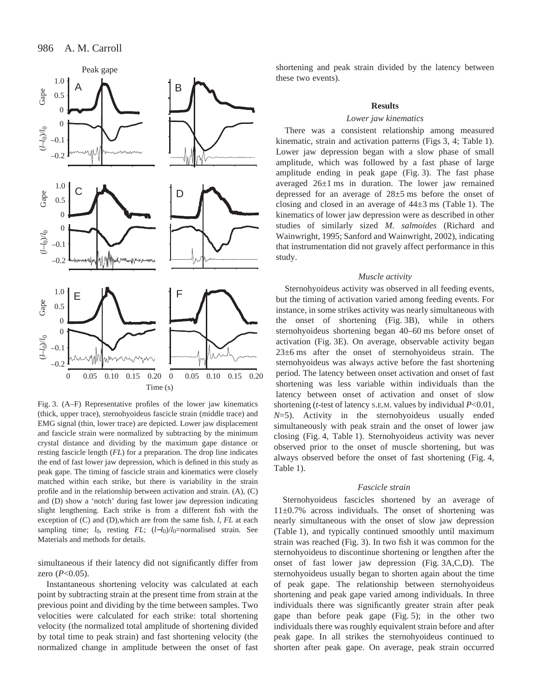

Fig. 3. (A–F) Representative profiles of the lower jaw kinematics (thick, upper trace), sternohyoideus fascicle strain (middle trace) and EMG signal (thin, lower trace) are depicted. Lower jaw displacement and fascicle strain were normalized by subtracting by the minimum crystal distance and dividing by the maximum gape distance or resting fascicle length (*FL*) for a preparation. The drop line indicates the end of fast lower jaw depression, which is defined in this study as peak gape. The timing of fascicle strain and kinematics were closely matched within each strike, but there is variability in the strain profile and in the relationship between activation and strain. (A), (C) and (D) show a 'notch' during fast lower jaw depression indicating slight lengthening. Each strike is from a different fish with the exception of (C) and (D),which are from the same fish. *l*, *FL* at each sampling time; *l*0, resting *FL*; (*l*−*l*0)/*l*0=normalised strain*.* See Materials and methods for details.

simultaneous if their latency did not significantly differ from zero (*P*<0.05).

Instantaneous shortening velocity was calculated at each point by subtracting strain at the present time from strain at the previous point and dividing by the time between samples. Two velocities were calculated for each strike: total shortening velocity (the normalized total amplitude of shortening divided by total time to peak strain) and fast shortening velocity (the normalized change in amplitude between the onset of fast

shortening and peak strain divided by the latency between these two events).

# **Results**

# *Lower jaw kinematics*

There was a consistent relationship among measured kinematic, strain and activation patterns (Figs 3, 4; Table 1). Lower jaw depression began with a slow phase of small amplitude, which was followed by a fast phase of large amplitude ending in peak gape (Fig. 3). The fast phase averaged  $26\pm1$  ms in duration. The lower jaw remained depressed for an average of  $28\pm 5$  ms before the onset of closing and closed in an average of  $44\pm3$  ms (Table 1). The kinematics of lower jaw depression were as described in other studies of similarly sized *M. salmoides* (Richard and Wainwright, 1995; Sanford and Wainwright, 2002), indicating that instrumentation did not gravely affect performance in this study.

# *Muscle activity*

Sternohyoideus activity was observed in all feeding events, but the timing of activation varied among feeding events. For instance, in some strikes activity was nearly simultaneous with the onset of shortening (Fig. 3B), while in others sternohyoideus shortening began 40–60 ms before onset of activation (Fig. 3E). On average, observable activity began  $23±6$  ms after the onset of sternohyoideus strain. The sternohyoideus was always active before the fast shortening period. The latency between onset activation and onset of fast shortening was less variable within individuals than the latency between onset of activation and onset of slow shortening (*t*-test of latency S.E.M. values by individual *P*<0.01, *N*=5). Activity in the sternohyoideus usually ended simultaneously with peak strain and the onset of lower jaw closing (Fig. 4, Table 1). Sternohyoideus activity was never observed prior to the onset of muscle shortening, but was always observed before the onset of fast shortening (Fig. 4, Table 1).

#### *Fascicle strain*

Sternohyoideus fascicles shortened by an average of 11±0.7% across individuals. The onset of shortening was nearly simultaneous with the onset of slow jaw depression (Table 1), and typically continued smoothly until maximum strain was reached (Fig. 3). In two fish it was common for the sternohyoideus to discontinue shortening or lengthen after the onset of fast lower jaw depression  $(Fig. 3A, C, D)$ . The sternohyoideus usually began to shorten again about the time of peak gape. The relationship between sternohyoideus shortening and peak gape varied among individuals. In three individuals there was significantly greater strain after peak gape than before peak gape  $(Fig. 5)$ ; in the other two individuals there was roughly equivalent strain before and after peak gape. In all strikes the sternohyoideus continued to shorten after peak gape. On average, peak strain occurred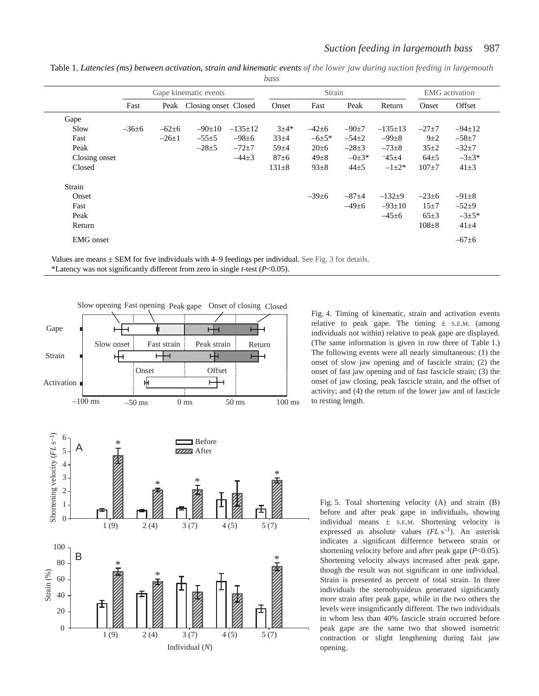|                  | Gape kinematic events |         |                      | Strain        |             |             |           | <b>EMG</b> activation |             |              |
|------------------|-----------------------|---------|----------------------|---------------|-------------|-------------|-----------|-----------------------|-------------|--------------|
|                  | Fast                  | Peak    | Closing onset Closed |               | Onset       | Fast        | Peak      | Return                | Onset       | Offset       |
| Gape             |                       |         |                      |               |             |             |           |                       |             |              |
| Slow             | $-36\pm6$             | $-62+6$ | $-90\pm10$           | $-135 \pm 12$ | $3+4*$      | $-42\pm 6$  | $-90+7$   | $-135\pm13$           | $-27+7$     | $-94 \pm 12$ |
| Fast             |                       | $-26+1$ | $-55+5$              | $-98+6$       | $33\pm4$    | $-6 \pm 5*$ | $-54+2$   | $-99\pm8$             | $9\pm2$     | $-58+7$      |
| Peak             |                       |         | $-28+5$              | $-72+7$       | $59 \pm 4$  | $20 \pm 6$  | $-28\pm3$ | $-73\pm8$             | $35 \pm 2$  | $-32\pm7$    |
| Closing onset    |                       |         |                      | $-44\pm3$     | 87±6        | $49\pm8$    | $-0\pm3*$ | $-45+4$               | $64\pm5$    | $-3\pm3*$    |
| Closed           |                       |         |                      |               | $131 \pm 8$ | $93\pm8$    | $44\pm 5$ | $-1\pm2*$             | $107 + 7$   | $41\pm3$     |
| Strain           |                       |         |                      |               |             |             |           |                       |             |              |
| Onset            |                       |         |                      |               |             | $-39\pm6$   | $-87+4$   | $-132+9$              | $-23\pm 6$  | $-91\pm8$    |
| Fast             |                       |         |                      |               |             |             | $-49+6$   | $-93 \pm 10$          | $15\pm7$    | $-52\pm9$    |
| Peak             |                       |         |                      |               |             |             |           | $-45\pm 6$            | $65\pm3$    | $-3\pm5*$    |
| Return           |                       |         |                      |               |             |             |           |                       | $108 \pm 8$ | $41\pm4$     |
| <b>EMG</b> onset |                       |         |                      |               |             |             |           |                       |             | $-67+6$      |

Table 1. Latencies (ms) between activation, strain and kinematic events of the lower jaw during suction feeding in largemouth *bass*

Values are means  $\pm$  SEM for five individuals with 4–9 feedings per individual. See Fig. 3 for details. \*Latency was not significantly different from zero in single *t*-test (*P*<0.05).



Fig. 4. Timing of kinematic, strain and activation events relative to peak gape. The timing  $\pm$  s.E.M. (among individuals not within) relative to peak gape are displayed. (The same information is given in row three of Table 1.) The following events were all nearly simultaneous: (1) the onset of slow jaw opening and of fascicle strain; (2) the onset of fast jaw opening and of fast fascicle strain; (3) the onset of jaw closing, peak fascicle strain, and the offset of activity; and (4) the return of the lower jaw and of fascicle to resting length.

Fig. 5. Total shortening velocity (A) and strain (B) before and after peak gape in individuals, showing individual means ± S.E.M. Shortening velocity is expressed as absolute values  $(FL \, \text{s}^{-1})$ . An asterisk indicates a significant difference between strain or shortening velocity before and after peak gape (*P*<0.05). Shortening velocity always increased after peak gape, though the result was not significant in one individual. Strain is presented as percent of total strain. In three individuals the sternohyoideus generated significantly more strain after peak gape, while in the two others the levels were insignificantly different. The two individuals in whom less than 40% fascicle strain occurred before peak gape are the same two that showed isometric contraction or slight lengthening during fast jaw opening.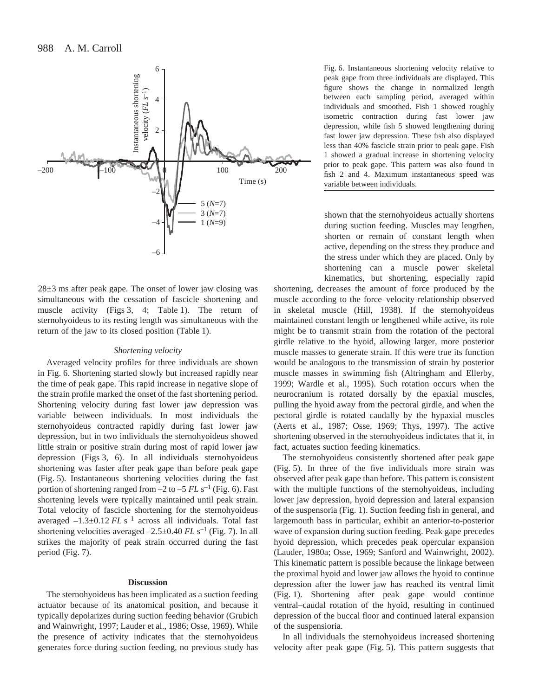

 $28±3$  ms after peak gape. The onset of lower jaw closing was simultaneous with the cessation of fascicle shortening and muscle activity (Figs 3, 4; Table 1). The return of sternohyoideus to its resting length was simultaneous with the return of the jaw to its closed position (Table 1).

### *Shortening velocity*

Averaged velocity profiles for three individuals are shown in Fig. 6. Shortening started slowly but increased rapidly near the time of peak gape. This rapid increase in negative slope of the strain profile marked the onset of the fast shortening period. Shortening velocity during fast lower jaw depression was variable between individuals. In most individuals the sternohyoideus contracted rapidly during fast lower jaw depression, but in two individuals the sternohyoideus showed little strain or positive strain during most of rapid lower jaw depression (Figs 3, 6). In all individuals sternohyoideus shortening was faster after peak gape than before peak gape (Fig. 5). Instantaneous shortening velocities during the fast portion of shortening ranged from  $-2$  to  $-5$   $FLs^{-1}$  (Fig. 6). Fast shortening levels were typically maintained until peak strain. Total velocity of fascicle shortening for the sternohyoideus averaged  $-1.3\pm0.12$  *FL* s<sup>-1</sup> across all individuals. Total fast shortening velocities averaged  $-2.5\pm0.40$  *FL* s<sup>-1</sup> (Fig. 7). In all strikes the majority of peak strain occurred during the fast period (Fig. 7).

# **Discussion**

The sternohyoideus has been implicated as a suction feeding actuator because of its anatomical position, and because it typically depolarizes during suction feeding behavior (Grubich and Wainwright, 1997; Lauder et al., 1986; Osse, 1969). While the presence of activity indicates that the sternohyoideus generates force during suction feeding, no previous study has Fig. 6. Instantaneous shortening velocity relative to peak gape from three individuals are displayed. This figure shows the change in normalized length between each sampling period, averaged within individuals and smoothed. Fish 1 showed roughly isometric contraction during fast lower jaw depression, while fish 5 showed lengthening during fast lower jaw depression. These fish also displayed less than 40% fascicle strain prior to peak gape. Fish 1 showed a gradual increase in shortening velocity prior to peak gape. This pattern was also found in fish 2 and 4. Maximum instantaneous speed was variable between individuals.

shown that the sternohyoideus actually shortens during suction feeding. Muscles may lengthen, shorten or remain of constant length when active, depending on the stress they produce and the stress under which they are placed. Only by shortening can a muscle power skeletal kinematics, but shortening, especially rapid

shortening, decreases the amount of force produced by the muscle according to the force–velocity relationship observed in skeletal muscle (Hill, 1938). If the sternohyoideus maintained constant length or lengthened while active, its role might be to transmit strain from the rotation of the pectoral girdle relative to the hyoid, allowing larger, more posterior muscle masses to generate strain. If this were true its function would be analogous to the transmission of strain by posterior muscle masses in swimming fish (Altringham and Ellerby, 1999; Wardle et al., 1995). Such rotation occurs when the neurocranium is rotated dorsally by the epaxial muscles, pulling the hyoid away from the pectoral girdle, and when the pectoral girdle is rotated caudally by the hypaxial muscles (Aerts et al., 1987; Osse, 1969; Thys, 1997). The active shortening observed in the sternohyoideus indictates that it, in fact, actuates suction feeding kinematics.

The sternohyoideus consistently shortened after peak gape (Fig. 5). In three of the five individuals more strain was observed after peak gape than before. This pattern is consistent with the multiple functions of the sternohyoideus, including lower jaw depression, hyoid depression and lateral expansion of the suspensoria (Fig.·1). Suction feeding fish in general, and largemouth bass in particular, exhibit an anterior-to-posterior wave of expansion during suction feeding. Peak gape precedes hyoid depression, which precedes peak opercular expansion (Lauder, 1980a; Osse, 1969; Sanford and Wainwright, 2002). This kinematic pattern is possible because the linkage between the proximal hyoid and lower jaw allows the hyoid to continue depression after the lower jaw has reached its ventral limit (Fig. 1). Shortening after peak gape would continue ventral–caudal rotation of the hyoid, resulting in continued depression of the buccal floor and continued lateral expansion of the suspensioria.

In all individuals the sternohyoideus increased shortening velocity after peak gape (Fig. 5). This pattern suggests that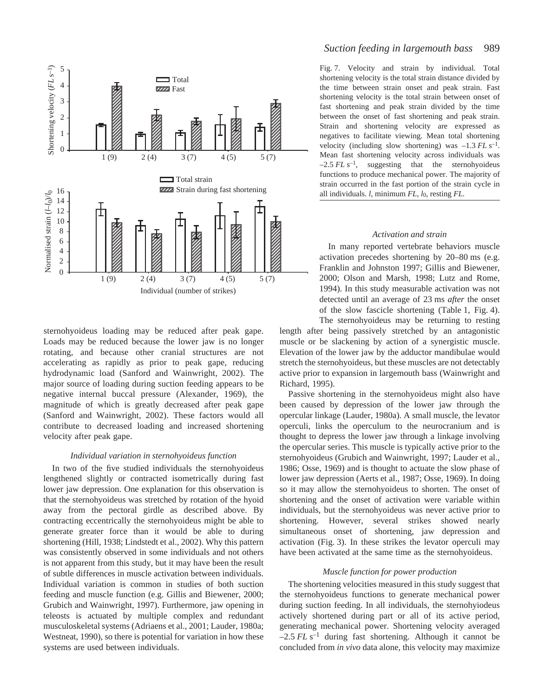

sternohyoideus loading may be reduced after peak gape. Loads may be reduced because the lower jaw is no longer rotating, and because other cranial structures are not accelerating as rapidly as prior to peak gape, reducing hydrodynamic load (Sanford and Wainwright, 2002). The major source of loading during suction feeding appears to be negative internal buccal pressure (Alexander, 1969), the magnitude of which is greatly decreased after peak gape (Sanford and Wainwright, 2002). These factors would all contribute to decreased loading and increased shortening velocity after peak gape.

#### *Individual variation in sternohyoideus function*

In two of the five studied individuals the sternohyoideus lengthened slightly or contracted isometrically during fast lower jaw depression. One explanation for this observation is that the sternohyoideus was stretched by rotation of the hyoid away from the pectoral girdle as described above. By contracting eccentrically the sternohyoideus might be able to generate greater force than it would be able to during shortening (Hill, 1938; Lindstedt et al., 2002). Why this pattern was consistently observed in some individuals and not others is not apparent from this study, but it may have been the result of subtle differences in muscle activation between individuals. Individual variation is common in studies of both suction feeding and muscle function (e.g. Gillis and Biewener, 2000; Grubich and Wainwright, 1997). Furthermore, jaw opening in teleosts is actuated by multiple complex and redundant musculoskeletal systems (Adriaens et al., 2001; Lauder, 1980a; Westneat, 1990), so there is potential for variation in how these systems are used between individuals.

# *Suction feeding in largemouth bass* 989

Fig. 7. Velocity and strain by individual. Total shortening velocity is the total strain distance divided by the time between strain onset and peak strain. Fast shortening velocity is the total strain between onset of fast shortening and peak strain divided by the time between the onset of fast shortening and peak strain. Strain and shortening velocity are expressed as negatives to facilitate viewing. Mean total shortening velocity (including slow shortening) was  $-1.3$  *FL* s<sup>-1</sup>. Mean fast shortening velocity across individuals was  $-2.5$  *FL* s<sup>-1</sup>, suggesting that the sternohyoideus functions to produce mechanical power. The majority of strain occurred in the fast portion of the strain cycle in all individuals. *l*, minimum *FL*, *l*0, resting *FL.*

# *Activation and strain*

In many reported vertebrate behaviors muscle activation precedes shortening by  $20-80$  ms (e.g. Franklin and Johnston 1997; Gillis and Biewener, 2000; Olson and Marsh, 1998; Lutz and Rome, 1994). In this study measurable activation was not detected until an average of 23 ms *after* the onset of the slow fascicle shortening (Table 1, Fig. 4). The sternohyoideus may be returning to resting

length after being passively stretched by an antagonistic muscle or be slackening by action of a synergistic muscle. Elevation of the lower jaw by the adductor mandibulae would stretch the sternohyoideus, but these muscles are not detectably active prior to expansion in largemouth bass (Wainwright and Richard, 1995).

Passive shortening in the sternohyoideus might also have been caused by depression of the lower jaw through the opercular linkage (Lauder, 1980a). A small muscle, the levator operculi, links the operculum to the neurocranium and is thought to depress the lower jaw through a linkage involving the opercular series. This muscle is typically active prior to the sternohyoideus (Grubich and Wainwright, 1997; Lauder et al., 1986; Osse, 1969) and is thought to actuate the slow phase of lower jaw depression (Aerts et al., 1987; Osse, 1969). In doing so it may allow the sternohyoideus to shorten. The onset of shortening and the onset of activation were variable within individuals, but the sternohyoideus was never active prior to shortening. However, several strikes showed nearly simultaneous onset of shortening, jaw depression and activation (Fig. 3). In these strikes the levator operculi may have been activated at the same time as the sternohyoideus.

# *Muscle function for power production*

The shortening velocities measured in this study suggest that the sternohyoideus functions to generate mechanical power during suction feeding. In all individuals, the sternohyiodeus actively shortened during part or all of its active period, generating mechanical power. Shortening velocity averaged  $-2.5$  *FL* s<sup>-1</sup> during fast shortening. Although it cannot be concluded from *in vivo* data alone, this velocity may maximize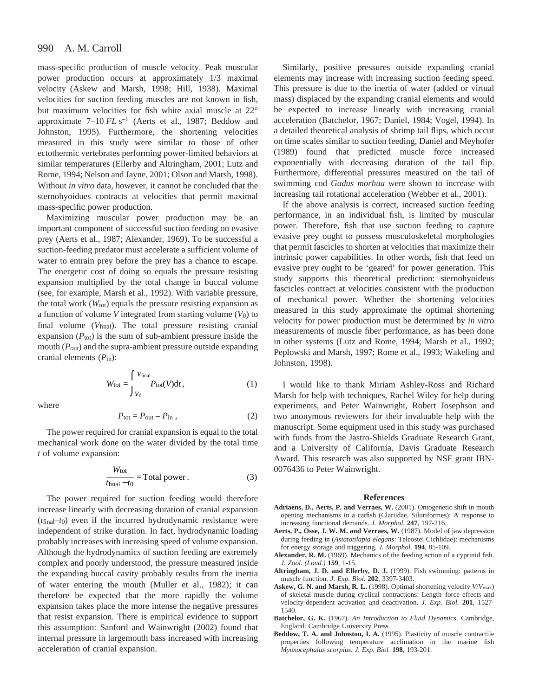#### 990 A. M. Carroll

mass-specific production of muscle velocity. Peak muscular power production occurs at approximately 1/3 maximal velocity (Askew and Marsh, 1998; Hill, 1938). Maximal velocities for suction feeding muscles are not known in fish, but maximum velocities for fish white axial muscle at 22° approximate 7-10  $FLs^{-1}$  (Aerts et al., 1987; Beddow and Johnston, 1995). Furthermore, the shortening velocities measured in this study were similar to those of other ectothermic vertebrates performing power-limited behaviors at similar temperatures (Ellerby and Altringham, 2001; Lutz and Rome, 1994; Nelson and Jayne, 2001; Olson and Marsh, 1998). Without *in vitro* data, however, it cannot be concluded that the sternohyoidues contracts at velocities that permit maximal mass-specific power production.

Maximizing muscular power production may be an important component of successful suction feeding on evasive prey (Aerts et al., 1987; Alexander, 1969). To be successful a suction-feeding predator must accelerate a sufficient volume of water to entrain prey before the prey has a chance to escape. The energetic cost of doing so equals the pressure resisting expansion multiplied by the total change in buccal volume (see, for example, Marsh et al., 1992). With variable pressure, the total work  $(W_{tot})$  equals the pressure resisting expansion as a function of volume *V* integrated from starting volume  $(V_0)$  to final volume (V<sub>final</sub>). The total pressure resisting cranial expansion  $(P_{\text{tot}})$  is the sum of sub-ambient pressure inside the mouth ( $P_{\text{out}}$ ) and the supra-ambient pressure outside expanding cranial elements (*P*in):

where

$$
P_{\text{tot}} = P_{\text{out}} - P_{\text{in}} \,,\tag{2}
$$

 $W_{\text{tot}} = \begin{cases} P_{\text{tot}}(V)dt, \end{cases}$  (1)

 $P_{\text{tot}}(V)dt$ ,

The power required for cranial expansion is equal to the total mechanical work done on the water divided by the total time *t* of volume expansion:

 $\int$  $\downarrow$  $\int$ 

*V*0

*V*final

$$
\frac{W_{\text{tot}}}{t_{\text{final}} - t_0} = \text{Total power.}
$$
 (3)

The power required for suction feeding would therefore increase linearly with decreasing duration of cranial expansion (*t*final–*t*0) even if the incurred hydrodynamic resistance were independent of strike duration. In fact, hydrodynamic loading probably increases with increasing speed of volume expansion. Although the hydrodynamics of suction feeding are extremely complex and poorly understood, the pressure measured inside the expanding buccal cavity probably results from the inertia of water entering the mouth (Muller et al., 1982); it can therefore be expected that the more rapidly the volume expansion takes place the more intense the negative pressures that resist expansion. There is empirical evidence to support this assumption: Sanford and Wainwright (2002) found that internal pressure in largemouth bass increased with increasing acceleration of cranial expansion.

Similarly, positive pressures outside expanding cranial elements may increase with increasing suction feeding speed. This pressure is due to the inertia of water (added or virtual mass) displaced by the expanding cranial elements and would be expected to increase linearly with increasing cranial acceleration (Batchelor, 1967; Daniel, 1984; Vogel, 1994). In a detailed theoretical analysis of shrimp tail flips, which occur on time scales similar to suction feeding, Daniel and Meyhofer (1989) found that predicted muscle force increased exponentially with decreasing duration of the tail flip. Furthermore, differential pressures measured on the tail of swimming cod *Gadus morhua* were shown to increase with increasing tail rotational acceleration (Webber et al., 2001).

If the above analysis is correct, increased suction feeding performance, in an individual fish, is limited by muscular power. Therefore, fish that use suction feeding to capture evasive prey ought to possess musculoskeletal morphologies that permit fascicles to shorten at velocities that maximize their intrinsic power capabilities. In other words, fish that feed on evasive prey ought to be 'geared' for power generation. This study supports this theoretical prediction: sternohyoideus fascicles contract at velocities consistent with the production of mechanical power. Whether the shortening velocities measured in this study approximate the optimal shortening velocity for power production must be determined by *in vitro* measurements of muscle fiber performance, as has been done in other systems (Lutz and Rome, 1994; Marsh et al., 1992; Peplowski and Marsh, 1997; Rome et al., 1993; Wakeling and Johnston, 1998).

I would like to thank Miriam Ashley-Ross and Richard Marsh for help with techniques, Rachel Wiley for help during experiments, and Peter Wainwright, Robert Josephson and two anonymous reviewers for their invaluable help with the manuscript. Some equipment used in this study was purchased with funds from the Jastro-Shields Graduate Research Grant, and a University of California, Davis Graduate Research Award. This research was also supported by NSF grant IBN-0076436 to Peter Wainwright.

#### **References**

- **Adriaens, D., Aerts, P. and Verraes, W.** (2001). Ontogenetic shift in mouth opening mechanisms in a catfish (Clariidae, Siluriformes): A response to increasing functional demands. *J. Morphol.* **247**, 197-216.
- **Aerts, P., Osse, J. W. M. and Verraes, W.** (1987). Model of jaw depression during feeding in (*Astatotilapia elegans*: Teleostei Cichlidae): mechanisms for energy storage and triggering. *J. Morphol.* **194**, 85-109.
- **Alexander, R. M.** (1969). Mechanics of the feeding action of a cyprinid fish. *J. Zool. (Lond.)* **159**, 1-15.
- **Altringham, J. D. and Ellerby, D. J.** (1999). Fish swimming: patterns in muscle function. *J. Exp. Biol.* **202**, 3397-3403.
- **Askew, G. N. and Marsh, R. L.** (1998). Optimal shortening velocity *V*/*V*max) of skeletal muscle during cyclical contractions: Length–force effects and velocity-dependent activation and deactivation. *J. Exp. Biol.* **201**, 1527- 1540.
- **Batchelor, G. K.** (1967). *An Introduction to Fluid Dynamics*. Cambridge, England: Cambridge University Press.
- **Beddow, T. A. and Johnston, I. A.** (1995). Plasticity of muscle contractile properties following temperature acclimation in the marine fish *Myoxocephalus scorpius*. *J. Exp. Biol.* **198**, 193-201.